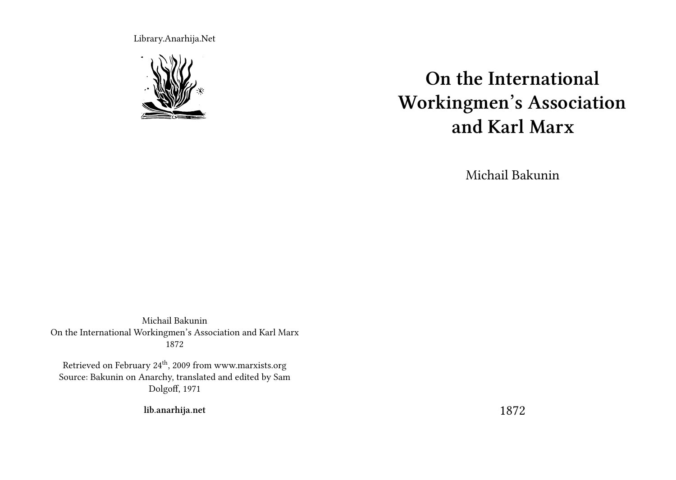Library.Anarhija.Net



## **On the International Workingmen's Association and Karl Marx**

Michail Bakunin

Michail Bakunin On the International Workingmen's Association and Karl Marx 1872

Retrieved on February  $24^{\rm th}$ , 2009 from www.marxists.org Source: Bakunin on Anarchy, translated and edited by Sam Dolgoff, 1971

**lib.anarhija.net**

1872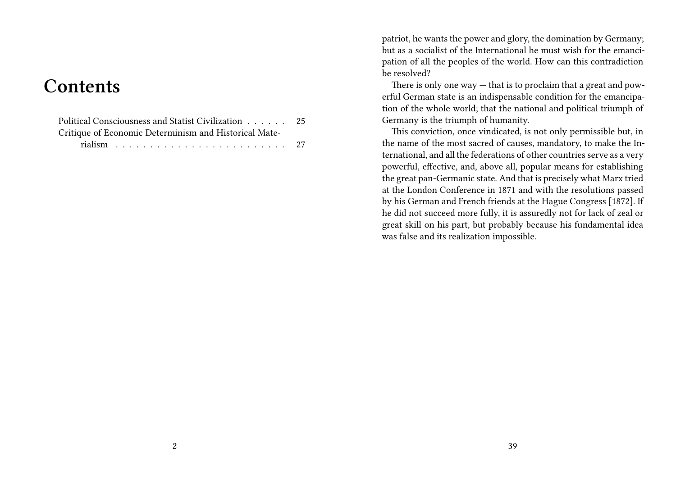## **Contents**

| Political Consciousness and Statist Civilization 25   |  |
|-------------------------------------------------------|--|
| Critique of Economic Determinism and Historical Mate- |  |
|                                                       |  |

patriot, he wants the power and glory, the domination by Germany; but as a socialist of the International he must wish for the emancipation of all the peoples of the world. How can this contradiction be resolved?

There is only one  $way - that$  is to proclaim that a great and powerful German state is an indispensable condition for the emancipation of the whole world; that the national and political triumph of Germany is the triumph of humanity.

This conviction, once vindicated, is not only permissible but, in the name of the most sacred of causes, mandatory, to make the International, and all the federations of other countries serve as a very powerful, effective, and, above all, popular means for establishing the great pan-Germanic state. And that is precisely what Marx tried at the London Conference in 1871 and with the resolutions passed by his German and French friends at the Hague Congress [1872]. If he did not succeed more fully, it is assuredly not for lack of zeal or great skill on his part, but probably because his fundamental idea was false and its realization impossible.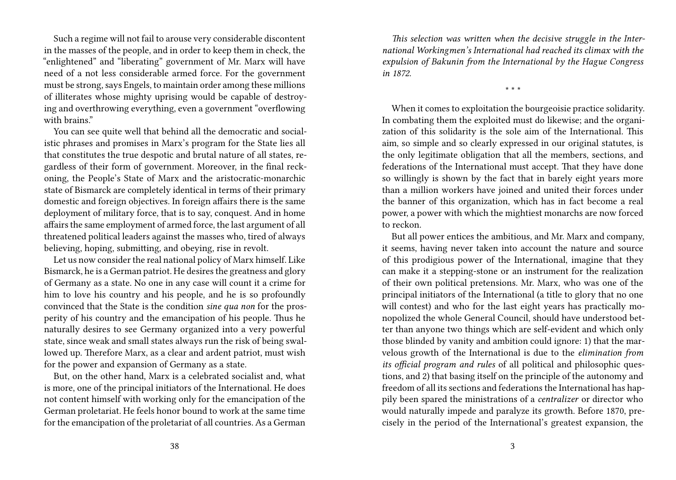Such a regime will not fail to arouse very considerable discontent in the masses of the people, and in order to keep them in check, the "enlightened" and "liberating" government of Mr. Marx will have need of a not less considerable armed force. For the government must be strong, says Engels, to maintain order among these millions of illiterates whose mighty uprising would be capable of destroying and overthrowing everything, even a government "overflowing with brains"

You can see quite well that behind all the democratic and socialistic phrases and promises in Marx's program for the State lies all that constitutes the true despotic and brutal nature of all states, regardless of their form of government. Moreover, in the final reckoning, the People's State of Marx and the aristocratic-monarchic state of Bismarck are completely identical in terms of their primary domestic and foreign objectives. In foreign affairs there is the same deployment of military force, that is to say, conquest. And in home affairs the same employment of armed force, the last argument of all threatened political leaders against the masses who, tired of always believing, hoping, submitting, and obeying, rise in revolt.

Let us now consider the real national policy of Marx himself. Like Bismarck, he is a German patriot. He desires the greatness and glory of Germany as a state. No one in any case will count it a crime for him to love his country and his people, and he is so profoundly convinced that the State is the condition *sine qua non* for the prosperity of his country and the emancipation of his people. Thus he naturally desires to see Germany organized into a very powerful state, since weak and small states always run the risk of being swallowed up. Therefore Marx, as a clear and ardent patriot, must wish for the power and expansion of Germany as a state.

But, on the other hand, Marx is a celebrated socialist and, what is more, one of the principal initiators of the International. He does not content himself with working only for the emancipation of the German proletariat. He feels honor bound to work at the same time for the emancipation of the proletariat of all countries. As a German

*This selection was written when the decisive struggle in the International Workingmen's International had reached its climax with the expulsion of Bakunin from the International by the Hague Congress in 1872.*

\* \* \*

When it comes to exploitation the bourgeoisie practice solidarity. In combating them the exploited must do likewise; and the organization of this solidarity is the sole aim of the International. This aim, so simple and so clearly expressed in our original statutes, is the only legitimate obligation that all the members, sections, and federations of the International must accept. That they have done so willingly is shown by the fact that in barely eight years more than a million workers have joined and united their forces under the banner of this organization, which has in fact become a real power, a power with which the mightiest monarchs are now forced to reckon.

But all power entices the ambitious, and Mr. Marx and company, it seems, having never taken into account the nature and source of this prodigious power of the International, imagine that they can make it a stepping-stone or an instrument for the realization of their own political pretensions. Mr. Marx, who was one of the principal initiators of the International (a title to glory that no one will contest) and who for the last eight years has practically monopolized the whole General Council, should have understood better than anyone two things which are self-evident and which only those blinded by vanity and ambition could ignore: 1) that the marvelous growth of the International is due to the *elimination from its official program and rules* of all political and philosophic questions, and 2) that basing itself on the principle of the autonomy and freedom of all its sections and federations the International has happily been spared the ministrations of a *centralizer* or director who would naturally impede and paralyze its growth. Before 1870, precisely in the period of the International's greatest expansion, the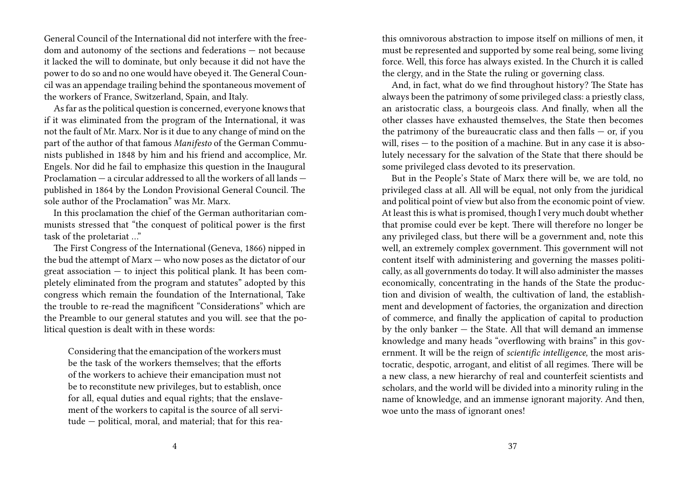General Council of the International did not interfere with the freedom and autonomy of the sections and federations — not because it lacked the will to dominate, but only because it did not have the power to do so and no one would have obeyed it. The General Council was an appendage trailing behind the spontaneous movement of the workers of France, Switzerland, Spain, and Italy.

As far as the political question is concerned, everyone knows that if it was eliminated from the program of the International, it was not the fault of Mr. Marx. Nor is it due to any change of mind on the part of the author of that famous *Manifesto* of the German Communists published in 1848 by him and his friend and accomplice, Mr. Engels. Nor did he fail to emphasize this question in the Inaugural Proclamation — a circular addressed to all the workers of all lands published in 1864 by the London Provisional General Council. The sole author of the Proclamation" was Mr. Marx.

In this proclamation the chief of the German authoritarian communists stressed that "the conquest of political power is the first task of the proletariat …"

The First Congress of the International (Geneva, 1866) nipped in the bud the attempt of Marx — who now poses as the dictator of our great association  $-$  to inject this political plank. It has been completely eliminated from the program and statutes" adopted by this congress which remain the foundation of the International, Take the trouble to re-read the magnificent "Considerations" which are the Preamble to our general statutes and you will. see that the political question is dealt with in these words:

Considering that the emancipation of the workers must be the task of the workers themselves; that the efforts of the workers to achieve their emancipation must not be to reconstitute new privileges, but to establish, once for all, equal duties and equal rights; that the enslavement of the workers to capital is the source of all servitude — political, moral, and material; that for this reathis omnivorous abstraction to impose itself on millions of men, it must be represented and supported by some real being, some living force. Well, this force has always existed. In the Church it is called the clergy, and in the State the ruling or governing class.

And, in fact, what do we find throughout history? The State has always been the patrimony of some privileged class: a priestly class, an aristocratic class, a bourgeois class. And finally, when all the other classes have exhausted themselves, the State then becomes the patrimony of the bureaucratic class and then falls  $-$  or, if you will, rises – to the position of a machine. But in any case it is absolutely necessary for the salvation of the State that there should be some privileged class devoted to its preservation.

But in the People's State of Marx there will be, we are told, no privileged class at all. All will be equal, not only from the juridical and political point of view but also from the economic point of view. At least this is what is promised, though I very much doubt whether that promise could ever be kept. There will therefore no longer be any privileged class, but there will be a government and, note this well, an extremely complex government. This government will not content itself with administering and governing the masses politically, as all governments do today. It will also administer the masses economically, concentrating in the hands of the State the production and division of wealth, the cultivation of land, the establishment and development of factories, the organization and direction of commerce, and finally the application of capital to production by the only banker — the State. All that will demand an immense knowledge and many heads "overflowing with brains" in this government. It will be the reign of *scientific intelligence,* the most aristocratic, despotic, arrogant, and elitist of all regimes. There will be a new class, a new hierarchy of real and counterfeit scientists and scholars, and the world will be divided into a minority ruling in the name of knowledge, and an immense ignorant majority. And then, woe unto the mass of ignorant ones!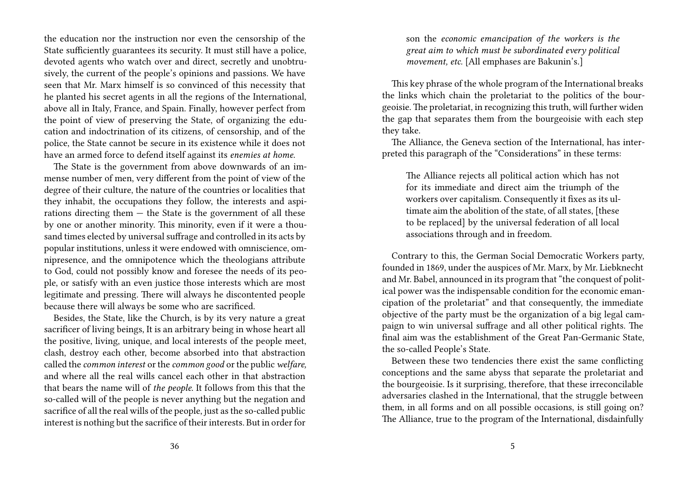the education nor the instruction nor even the censorship of the State sufficiently guarantees its security. It must still have a police, devoted agents who watch over and direct, secretly and unobtrusively, the current of the people's opinions and passions. We have seen that Mr. Marx himself is so convinced of this necessity that he planted his secret agents in all the regions of the International, above all in Italy, France, and Spain. Finally, however perfect from the point of view of preserving the State, of organizing the education and indoctrination of its citizens, of censorship, and of the police, the State cannot be secure in its existence while it does not have an armed force to defend itself against its *enemies at home.*

The State is the government from above downwards of an immense number of men, very different from the point of view of the degree of their culture, the nature of the countries or localities that they inhabit, the occupations they follow, the interests and aspirations directing them  $-$  the State is the government of all these by one or another minority. This minority, even if it were a thousand times elected by universal suffrage and controlled in its acts by popular institutions, unless it were endowed with omniscience, omnipresence, and the omnipotence which the theologians attribute to God, could not possibly know and foresee the needs of its people, or satisfy with an even justice those interests which are most legitimate and pressing. There will always he discontented people because there will always be some who are sacrificed.

Besides, the State, like the Church, is by its very nature a great sacrificer of living beings, It is an arbitrary being in whose heart all the positive, living, unique, and local interests of the people meet, clash, destroy each other, become absorbed into that abstraction called the *common interest* or the *common good* or the public *welfare,* and where all the real wills cancel each other in that abstraction that bears the name will of *the people.* It follows from this that the so-called will of the people is never anything but the negation and sacrifice of all the real wills of the people, just as the so-called public interest is nothing but the sacrifice of their interests. But in order for

son the *economic emancipation of the workers is the great aim to which must be subordinated every political movement, etc.* [All emphases are Bakunin's.]

This key phrase of the whole program of the International breaks the links which chain the proletariat to the politics of the bourgeoisie. The proletariat, in recognizing this truth, will further widen the gap that separates them from the bourgeoisie with each step they take.

The Alliance, the Geneva section of the International, has interpreted this paragraph of the "Considerations" in these terms:

The Alliance rejects all political action which has not for its immediate and direct aim the triumph of the workers over capitalism. Consequently it fixes as its ultimate aim the abolition of the state, of all states, [these to be replaced] by the universal federation of all local associations through and in freedom.

Contrary to this, the German Social Democratic Workers party, founded in 1869, under the auspices of Mr. Marx, by Mr. Liebknecht and Mr. Babel, announced in its program that "the conquest of political power was the indispensable condition for the economic emancipation of the proletariat" and that consequently, the immediate objective of the party must be the organization of a big legal campaign to win universal suffrage and all other political rights. The final aim was the establishment of the Great Pan-Germanic State, the so-called People's State.

Between these two tendencies there exist the same conflicting conceptions and the same abyss that separate the proletariat and the bourgeoisie. Is it surprising, therefore, that these irreconcilable adversaries clashed in the International, that the struggle between them, in all forms and on all possible occasions, is still going on? The Alliance, true to the program of the International, disdainfully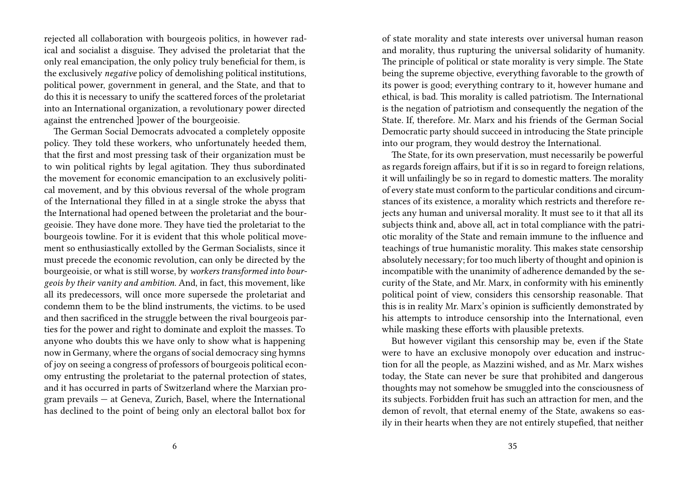rejected all collaboration with bourgeois politics, in however radical and socialist a disguise. They advised the proletariat that the only real emancipation, the only policy truly beneficial for them, is the exclusively *negative* policy of demolishing political institutions, political power, government in general, and the State, and that to do this it is necessary to unify the scattered forces of the proletariat into an International organization, a revolutionary power directed against the entrenched ]power of the bourgeoisie.

The German Social Democrats advocated a completely opposite policy. They told these workers, who unfortunately heeded them, that the first and most pressing task of their organization must be to win political rights by legal agitation. They thus subordinated the movement for economic emancipation to an exclusively political movement, and by this obvious reversal of the whole program of the International they filled in at a single stroke the abyss that the International had opened between the proletariat and the bourgeoisie. They have done more. They have tied the proletariat to the bourgeois towline. For it is evident that this whole political movement so enthusiastically extolled by the German Socialists, since it must precede the economic revolution, can only be directed by the bourgeoisie, or what is still worse, by *workers transformed into bourgeois by their vanity and ambition.* And, in fact, this movement, like all its predecessors, will once more supersede the proletariat and condemn them to be the blind instruments, the victims. to be used and then sacrificed in the struggle between the rival bourgeois parties for the power and right to dominate and exploit the masses. To anyone who doubts this we have only to show what is happening now in Germany, where the organs of social democracy sing hymns of joy on seeing a congress of professors of bourgeois political economy entrusting the proletariat to the paternal protection of states, and it has occurred in parts of Switzerland where the Marxian program prevails — at Geneva, Zurich, Basel, where the International has declined to the point of being only an electoral ballot box for

of state morality and state interests over universal human reason and morality, thus rupturing the universal solidarity of humanity. The principle of political or state morality is very simple. The State being the supreme objective, everything favorable to the growth of its power is good; everything contrary to it, however humane and ethical, is bad. This morality is called patriotism. The International is the negation of patriotism and consequently the negation of the State. If, therefore. Mr. Marx and his friends of the German Social Democratic party should succeed in introducing the State principle into our program, they would destroy the International.

The State, for its own preservation, must necessarily be powerful as regards foreign affairs, but if it is so in regard to foreign relations, it will unfailingly be so in regard to domestic matters. The morality of every state must conform to the particular conditions and circumstances of its existence, a morality which restricts and therefore rejects any human and universal morality. It must see to it that all its subjects think and, above all, act in total compliance with the patriotic morality of the State and remain immune to the influence and teachings of true humanistic morality. This makes state censorship absolutely necessary; for too much liberty of thought and opinion is incompatible with the unanimity of adherence demanded by the security of the State, and Mr. Marx, in conformity with his eminently political point of view, considers this censorship reasonable. That this is in reality Mr. Marx's opinion is sufficiently demonstrated by his attempts to introduce censorship into the International, even while masking these efforts with plausible pretexts.

But however vigilant this censorship may be, even if the State were to have an exclusive monopoly over education and instruction for all the people, as Mazzini wished, and as Mr. Marx wishes today, the State can never be sure that prohibited and dangerous thoughts may not somehow be smuggled into the consciousness of its subjects. Forbidden fruit has such an attraction for men, and the demon of revolt, that eternal enemy of the State, awakens so easily in their hearts when they are not entirely stupefied, that neither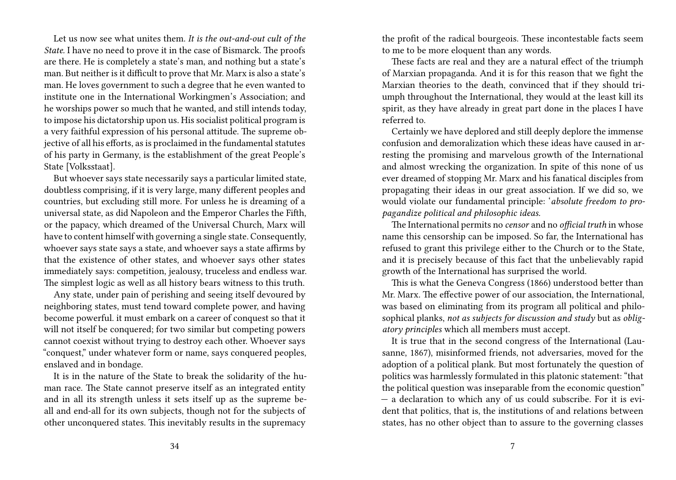Let us now see what unites them. *It is the out-and-out cult of the State.* I have no need to prove it in the case of Bismarck. The proofs are there. He is completely a state's man, and nothing but a state's man. But neither is it difficult to prove that Mr. Marx is also a state's man. He loves government to such a degree that he even wanted to institute one in the International Workingmen's Association; and he worships power so much that he wanted, and still intends today, to impose his dictatorship upon us. His socialist political program is a very faithful expression of his personal attitude. The supreme objective of all his efforts, as is proclaimed in the fundamental statutes of his party in Germany, is the establishment of the great People's State [Volksstaat].

But whoever says state necessarily says a particular limited state, doubtless comprising, if it is very large, many different peoples and countries, but excluding still more. For unless he is dreaming of a universal state, as did Napoleon and the Emperor Charles the Fifth, or the papacy, which dreamed of the Universal Church, Marx will have to content himself with governing a single state. Consequently, whoever says state says a state, and whoever says a state affirms by that the existence of other states, and whoever says other states immediately says: competition, jealousy, truceless and endless war. The simplest logic as well as all history bears witness to this truth.

Any state, under pain of perishing and seeing itself devoured by neighboring states, must tend toward complete power, and having become powerful. it must embark on a career of conquest so that it will not itself be conquered; for two similar but competing powers cannot coexist without trying to destroy each other. Whoever says "conquest," under whatever form or name, says conquered peoples, enslaved and in bondage.

It is in the nature of the State to break the solidarity of the human race. The State cannot preserve itself as an integrated entity and in all its strength unless it sets itself up as the supreme beall and end-all for its own subjects, though not for the subjects of other unconquered states. This inevitably results in the supremacy

the profit of the radical bourgeois. These incontestable facts seem to me to be more eloquent than any words.

These facts are real and they are a natural effect of the triumph of Marxian propaganda. And it is for this reason that we fight the Marxian theories to the death, convinced that if they should triumph throughout the International, they would at the least kill its spirit, as they have already in great part done in the places I have referred to.

Certainly we have deplored and still deeply deplore the immense confusion and demoralization which these ideas have caused in arresting the promising and marvelous growth of the International and almost wrecking the organization. In spite of this none of us ever dreamed of stopping Mr. Marx and his fanatical disciples from propagating their ideas in our great association. If we did so, we would violate our fundamental principle: '*absolute freedom to propagandize political and philosophic ideas.*

The International permits no *censor* and no *official truth* in whose name this censorship can be imposed. So far, the International has refused to grant this privilege either to the Church or to the State, and it is precisely because of this fact that the unbelievably rapid growth of the International has surprised the world.

This is what the Geneva Congress (1866) understood better than Mr. Marx. The effective power of our association, the International, was based on eliminating from its program all political and philosophical planks, *not as subjects for discussion and study* but as *obligatory principles* which all members must accept.

It is true that in the second congress of the International (Lausanne, 1867), misinformed friends, not adversaries, moved for the adoption of a political plank. But most fortunately the question of politics was harmlessly formulated in this platonic statement: "that the political question was inseparable from the economic question" — a declaration to which any of us could subscribe. For it is evident that politics, that is, the institutions of and relations between states, has no other object than to assure to the governing classes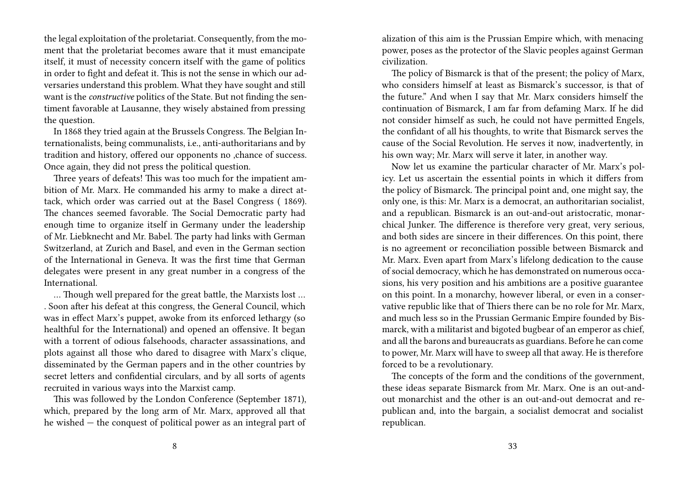the legal exploitation of the proletariat. Consequently, from the moment that the proletariat becomes aware that it must emancipate itself, it must of necessity concern itself with the game of politics in order to fight and defeat it. This is not the sense in which our adversaries understand this problem. What they have sought and still want is the *constructive* politics of the State. But not finding the sentiment favorable at Lausanne, they wisely abstained from pressing the question.

In 1868 they tried again at the Brussels Congress. The Belgian Internationalists, being communalists, i.e., anti-authoritarians and by tradition and history, offered our opponents no ,chance of success. Once again, they did not press the political question.

Three years of defeats! This was too much for the impatient ambition of Mr. Marx. He commanded his army to make a direct attack, which order was carried out at the Basel Congress ( 1869). The chances seemed favorable. The Social Democratic party had enough time to organize itself in Germany under the leadership of Mr. Liebknecht and Mr. Babel. The party had links with German Switzerland, at Zurich and Basel, and even in the German section of the International in Geneva. It was the first time that German delegates were present in any great number in a congress of the International.

… Though well prepared for the great battle, the Marxists lost … . Soon after his defeat at this congress, the General Council, which was in effect Marx's puppet, awoke from its enforced lethargy (so healthful for the International) and opened an offensive. It began with a torrent of odious falsehoods, character assassinations, and plots against all those who dared to disagree with Marx's clique, disseminated by the German papers and in the other countries by secret letters and confidential circulars, and by all sorts of agents recruited in various ways into the Marxist camp.

This was followed by the London Conference (September 1871), which, prepared by the long arm of Mr. Marx, approved all that he wished — the conquest of political power as an integral part of alization of this aim is the Prussian Empire which, with menacing power, poses as the protector of the Slavic peoples against German civilization.

The policy of Bismarck is that of the present; the policy of Marx, who considers himself at least as Bismarck's successor, is that of the future." And when I say that Mr. Marx considers himself the continuation of Bismarck, I am far from defaming Marx. If he did not consider himself as such, he could not have permitted Engels, the confidant of all his thoughts, to write that Bismarck serves the cause of the Social Revolution. He serves it now, inadvertently, in his own way; Mr. Marx will serve it later, in another way.

Now let us examine the particular character of Mr. Marx's policy. Let us ascertain the essential points in which it differs from the policy of Bismarck. The principal point and, one might say, the only one, is this: Mr. Marx is a democrat, an authoritarian socialist, and a republican. Bismarck is an out-and-out aristocratic, monarchical Junker. The difference is therefore very great, very serious, and both sides are sincere in their differences. On this point, there is no agreement or reconciliation possible between Bismarck and Mr. Marx. Even apart from Marx's lifelong dedication to the cause of social democracy, which he has demonstrated on numerous occasions, his very position and his ambitions are a positive guarantee on this point. In a monarchy, however liberal, or even in a conservative republic like that of Thiers there can be no role for Mr. Marx, and much less so in the Prussian Germanic Empire founded by Bismarck, with a militarist and bigoted bugbear of an emperor as chief, and all the barons and bureaucrats as guardians. Before he can come to power, Mr. Marx will have to sweep all that away. He is therefore forced to be a revolutionary.

The concepts of the form and the conditions of the government, these ideas separate Bismarck from Mr. Marx. One is an out-andout monarchist and the other is an out-and-out democrat and republican and, into the bargain, a socialist democrat and socialist republican.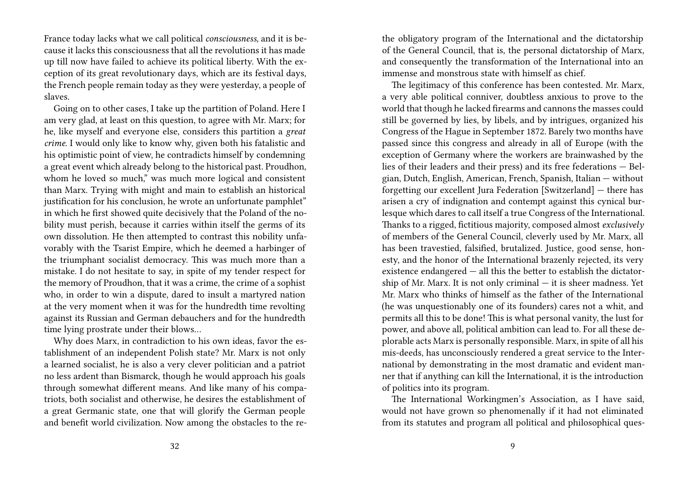France today lacks what we call political *consciousness,* and it is because it lacks this consciousness that all the revolutions it has made up till now have failed to achieve its political liberty. With the exception of its great revolutionary days, which are its festival days, the French people remain today as they were yesterday, a people of slaves.

Going on to other cases, I take up the partition of Poland. Here I am very glad, at least on this question, to agree with Mr. Marx; for he, like myself and everyone else, considers this partition a *great crime.* I would only like to know why, given both his fatalistic and his optimistic point of view, he contradicts himself by condemning a great event which already belong to the historical past. Proudhon, whom he loved so much," was much more logical and consistent than Marx. Trying with might and main to establish an historical justification for his conclusion, he wrote an unfortunate pamphlet" in which he first showed quite decisively that the Poland of the nobility must perish, because it carries within itself the germs of its own dissolution. He then attempted to contrast this nobility unfavorably with the Tsarist Empire, which he deemed a harbinger of the triumphant socialist democracy. This was much more than a mistake. I do not hesitate to say, in spite of my tender respect for the memory of Proudhon, that it was a crime, the crime of a sophist who, in order to win a dispute, dared to insult a martyred nation at the very moment when it was for the hundredth time revolting against its Russian and German debauchers and for the hundredth time lying prostrate under their blows…

Why does Marx, in contradiction to his own ideas, favor the establishment of an independent Polish state? Mr. Marx is not only a learned socialist, he is also a very clever politician and a patriot no less ardent than Bismarck, though he would approach his goals through somewhat different means. And like many of his compatriots, both socialist and otherwise, he desires the establishment of a great Germanic state, one that will glorify the German people and benefit world civilization. Now among the obstacles to the rethe obligatory program of the International and the dictatorship of the General Council, that is, the personal dictatorship of Marx, and consequently the transformation of the International into an immense and monstrous state with himself as chief.

The legitimacy of this conference has been contested. Mr. Marx, a very able political conniver, doubtless anxious to prove to the world that though he lacked firearms and cannons the masses could still be governed by lies, by libels, and by intrigues, organized his Congress of the Hague in September 1872. Barely two months have passed since this congress and already in all of Europe (with the exception of Germany where the workers are brainwashed by the lies of their leaders and their press) and its free federations — Belgian, Dutch, English, American, French, Spanish, Italian — without forgetting our excellent Jura Federation [Switzerland] — there has arisen a cry of indignation and contempt against this cynical burlesque which dares to call itself a true Congress of the International. Thanks to a rigged, fictitious majority, composed almost *exclusively* of members of the General Council, cleverly used by Mr. Marx, all has been travestied, falsified, brutalized. Justice, good sense, honesty, and the honor of the International brazenly rejected, its very existence endangered — all this the better to establish the dictatorship of Mr. Marx. It is not only criminal — it is sheer madness. Yet Mr. Marx who thinks of himself as the father of the International (he was unquestionably one of its founders) cares not a whit, and permits all this to be done! This is what personal vanity, the lust for power, and above all, political ambition can lead to. For all these deplorable acts Marx is personally responsible. Marx, in spite of all his mis-deeds, has unconsciously rendered a great service to the International by demonstrating in the most dramatic and evident manner that if anything can kill the International, it is the introduction of politics into its program.

The International Workingmen's Association, as I have said, would not have grown so phenomenally if it had not eliminated from its statutes and program all political and philosophical ques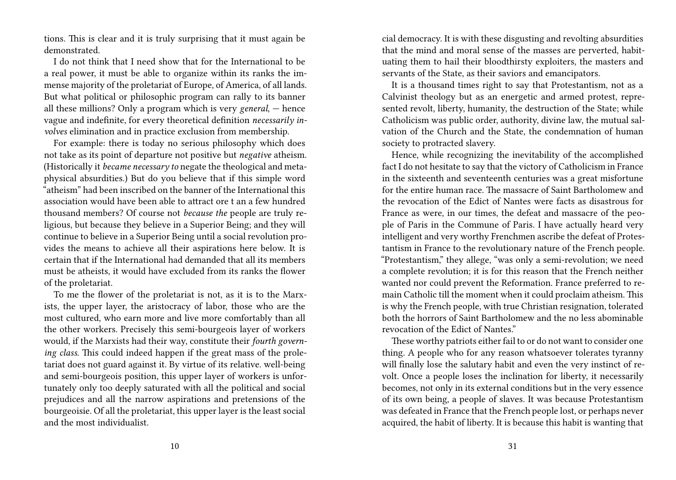tions. This is clear and it is truly surprising that it must again be demonstrated.

I do not think that I need show that for the International to be a real power, it must be able to organize within its ranks the immense majority of the proletariat of Europe, of America, of all lands. But what political or philosophic program can rally to its banner all these millions? Only a program which is very *general*, — hence vague and indefinite, for every theoretical definition *necessarily involves* elimination and in practice exclusion from membership.

For example: there is today no serious philosophy which does not take as its point of departure not positive but *negative* atheism. (Historically it *became necessary to* negate the theological and metaphysical absurdities.) But do you believe that if this simple word "atheism" had been inscribed on the banner of the International this association would have been able to attract ore t an a few hundred thousand members? Of course not *because the* people are truly religious, but because they believe in a Superior Being; and they will continue to believe in a Superior Being until a social revolution provides the means to achieve all their aspirations here below. It is certain that if the International had demanded that all its members must be atheists, it would have excluded from its ranks the flower of the proletariat.

To me the flower of the proletariat is not, as it is to the Marxists, the upper layer, the aristocracy of labor, those who are the most cultured, who earn more and live more comfortably than all the other workers. Precisely this semi-bourgeois layer of workers would, if the Marxists had their way, constitute their *fourth governing class.* This could indeed happen if the great mass of the proletariat does not guard against it. By virtue of its relative. well-being and semi-bourgeois position, this upper layer of workers is unfortunately only too deeply saturated with all the political and social prejudices and all the narrow aspirations and pretensions of the bourgeoisie. Of all the proletariat, this upper layer is the least social and the most individualist.

cial democracy. It is with these disgusting and revolting absurdities that the mind and moral sense of the masses are perverted, habituating them to hail their bloodthirsty exploiters, the masters and servants of the State, as their saviors and emancipators.

It is a thousand times right to say that Protestantism, not as a Calvinist theology but as an energetic and armed protest, represented revolt, liberty, humanity, the destruction of the State; while Catholicism was public order, authority, divine law, the mutual salvation of the Church and the State, the condemnation of human society to protracted slavery.

Hence, while recognizing the inevitability of the accomplished fact I do not hesitate to say that the victory of Catholicism in France in the sixteenth and seventeenth centuries was a great misfortune for the entire human race. The massacre of Saint Bartholomew and the revocation of the Edict of Nantes were facts as disastrous for France as were, in our times, the defeat and massacre of the people of Paris in the Commune of Paris. I have actually heard very intelligent and very worthy Frenchmen ascribe the defeat of Protestantism in France to the revolutionary nature of the French people. "Protestantism," they allege, "was only a semi-revolution; we need a complete revolution; it is for this reason that the French neither wanted nor could prevent the Reformation. France preferred to remain Catholic till the moment when it could proclaim atheism. This is why the French people, with true Christian resignation, tolerated both the horrors of Saint Bartholomew and the no less abominable revocation of the Edict of Nantes."

These worthy patriots either fail to or do not want to consider one thing. A people who for any reason whatsoever tolerates tyranny will finally lose the salutary habit and even the very instinct of revolt. Once a people loses the inclination for liberty, it necessarily becomes, not only in its external conditions but in the very essence of its own being, a people of slaves. It was because Protestantism was defeated in France that the French people lost, or perhaps never acquired, the habit of liberty. It is because this habit is wanting that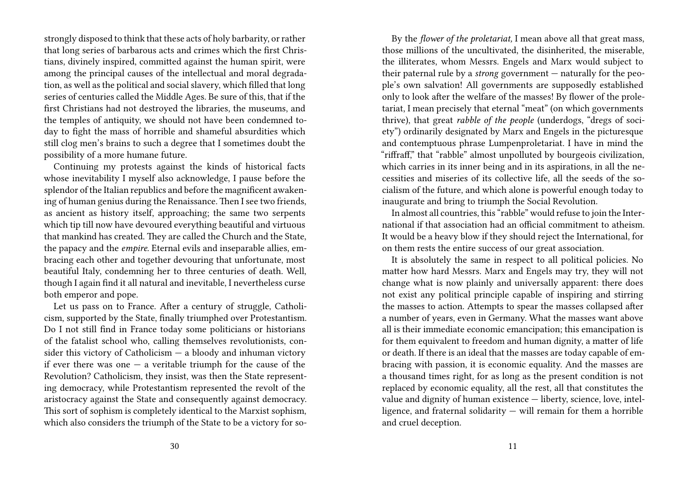strongly disposed to think that these acts of holy barbarity, or rather that long series of barbarous acts and crimes which the first Christians, divinely inspired, committed against the human spirit, were among the principal causes of the intellectual and moral degradation, as well as the political and social slavery, which filled that long series of centuries called the Middle Ages. Be sure of this, that if the first Christians had not destroyed the libraries, the museums, and the temples of antiquity, we should not have been condemned today to fight the mass of horrible and shameful absurdities which still clog men's brains to such a degree that I sometimes doubt the possibility of a more humane future.

Continuing my protests against the kinds of historical facts whose inevitability I myself also acknowledge, I pause before the splendor of the Italian republics and before the magnificent awakening of human genius during the Renaissance. Then I see two friends, as ancient as history itself, approaching; the same two serpents which tip till now have devoured everything beautiful and virtuous that mankind has created. They are called the Church and the State, the papacy and the *empire.* Eternal evils and inseparable allies, embracing each other and together devouring that unfortunate, most beautiful Italy, condemning her to three centuries of death. Well, though I again find it all natural and inevitable, I nevertheless curse both emperor and pope.

Let us pass on to France. After a century of struggle, Catholicism, supported by the State, finally triumphed over Protestantism. Do I not still find in France today some politicians or historians of the fatalist school who, calling themselves revolutionists, consider this victory of Catholicism  $-$  a bloody and inhuman victory if ever there was one  $-$  a veritable triumph for the cause of the Revolution? Catholicism, they insist, was then the State representing democracy, while Protestantism represented the revolt of the aristocracy against the State and consequently against democracy. This sort of sophism is completely identical to the Marxist sophism, which also considers the triumph of the State to be a victory for so-

By the *flower of the proletariat,* I mean above all that great mass, those millions of the uncultivated, the disinherited, the miserable, the illiterates, whom Messrs. Engels and Marx would subject to their paternal rule by a *strong* government — naturally for the people's own salvation! All governments are supposedly established only to look after the welfare of the masses! By flower of the proletariat, I mean precisely that eternal "meat" (on which governments thrive), that great *rabble of the people* (underdogs, "dregs of society") ordinarily designated by Marx and Engels in the picturesque and contemptuous phrase Lumpenproletariat. I have in mind the "riffraff," that "rabble" almost unpolluted by bourgeois civilization, which carries in its inner being and in its aspirations, in all the necessities and miseries of its collective life, all the seeds of the socialism of the future, and which alone is powerful enough today to inaugurate and bring to triumph the Social Revolution.

In almost all countries, this "rabble" would refuse to join the International if that association had an official commitment to atheism. It would be a heavy blow if they should reject the International, for on them rests the entire success of our great association.

It is absolutely the same in respect to all political policies. No matter how hard Messrs. Marx and Engels may try, they will not change what is now plainly and universally apparent: there does not exist any political principle capable of inspiring and stirring the masses to action. Attempts to spear the masses collapsed after a number of years, even in Germany. What the masses want above all is their immediate economic emancipation; this emancipation is for them equivalent to freedom and human dignity, a matter of life or death. If there is an ideal that the masses are today capable of embracing with passion, it is economic equality. And the masses are a thousand times right, for as long as the present condition is not replaced by economic equality, all the rest, all that constitutes the value and dignity of human existence — liberty, science, love, intelligence, and fraternal solidarity — will remain for them a horrible and cruel deception.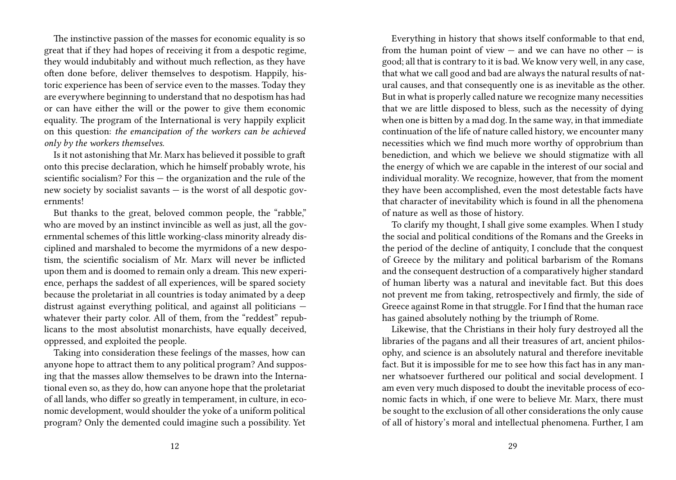The instinctive passion of the masses for economic equality is so great that if they had hopes of receiving it from a despotic regime, they would indubitably and without much reflection, as they have often done before, deliver themselves to despotism. Happily, historic experience has been of service even to the masses. Today they are everywhere beginning to understand that no despotism has had or can have either the will or the power to give them economic equality. The program of the International is very happily explicit on this question: *the emancipation of the workers can be achieved only by the workers themselves.*

Is it not astonishing that Mr. Marx has believed it possible to graft onto this precise declaration, which he himself probably wrote, his scientific socialism? For this — the organization and the rule of the new society by socialist savants — is the worst of all despotic governments!

But thanks to the great, beloved common people, the "rabble," who are moved by an instinct invincible as well as just, all the governmental schemes of this little working-class minority already disciplined and marshaled to become the myrmidons of a new despotism, the scientific socialism of Mr. Marx will never be inflicted upon them and is doomed to remain only a dream. This new experience, perhaps the saddest of all experiences, will be spared society because the proletariat in all countries is today animated by a deep distrust against everything political, and against all politicians whatever their party color. All of them, from the "reddest" republicans to the most absolutist monarchists, have equally deceived, oppressed, and exploited the people.

Taking into consideration these feelings of the masses, how can anyone hope to attract them to any political program? And supposing that the masses allow themselves to be drawn into the International even so, as they do, how can anyone hope that the proletariat of all lands, who differ so greatly in temperament, in culture, in economic development, would shoulder the yoke of a uniform political program? Only the demented could imagine such a possibility. Yet

Everything in history that shows itself conformable to that end, from the human point of view  $-$  and we can have no other  $-$  is good; all that is contrary to it is bad. We know very well, in any case, that what we call good and bad are always the natural results of natural causes, and that consequently one is as inevitable as the other. But in what is properly called nature we recognize many necessities that we are little disposed to bless, such as the necessity of dying when one is bitten by a mad dog. In the same way, in that immediate continuation of the life of nature called history, we encounter many necessities which we find much more worthy of opprobrium than benediction, and which we believe we should stigmatize with all the energy of which we are capable in the interest of our social and individual morality. We recognize, however, that from the moment they have been accomplished, even the most detestable facts have that character of inevitability which is found in all the phenomena of nature as well as those of history.

To clarify my thought, I shall give some examples. When I study the social and political conditions of the Romans and the Greeks in the period of the decline of antiquity, I conclude that the conquest of Greece by the military and political barbarism of the Romans and the consequent destruction of a comparatively higher standard of human liberty was a natural and inevitable fact. But this does not prevent me from taking, retrospectively and firmly, the side of Greece against Rome in that struggle. For I find that the human race has gained absolutely nothing by the triumph of Rome.

Likewise, that the Christians in their holy fury destroyed all the libraries of the pagans and all their treasures of art, ancient philosophy, and science is an absolutely natural and therefore inevitable fact. But it is impossible for me to see how this fact has in any manner whatsoever furthered our political and social development. I am even very much disposed to doubt the inevitable process of economic facts in which, if one were to believe Mr. Marx, there must be sought to the exclusion of all other considerations the only cause of all of history's moral and intellectual phenomena. Further, I am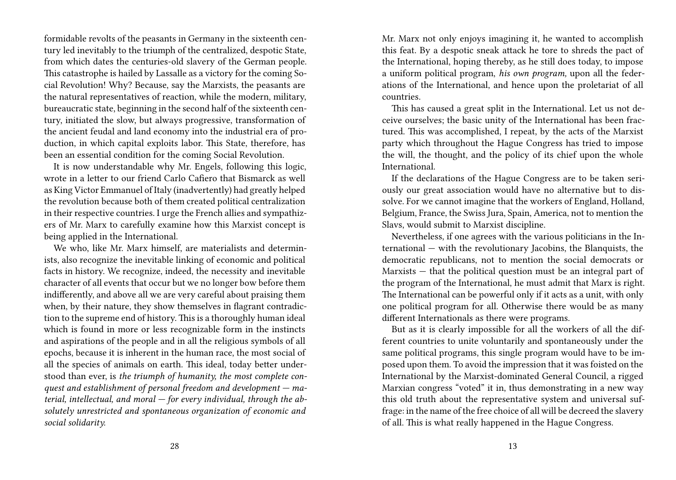formidable revolts of the peasants in Germany in the sixteenth century led inevitably to the triumph of the centralized, despotic State, from which dates the centuries-old slavery of the German people. This catastrophe is hailed by Lassalle as a victory for the coming Social Revolution! Why? Because, say the Marxists, the peasants are the natural representatives of reaction, while the modern, military, bureaucratic state, beginning in the second half of the sixteenth century, initiated the slow, but always progressive, transformation of the ancient feudal and land economy into the industrial era of production, in which capital exploits labor. This State, therefore, has been an essential condition for the coming Social Revolution.

It is now understandable why Mr. Engels, following this logic, wrote in a letter to our friend Carlo Cafiero that Bismarck as well as King Victor Emmanuel of Italy (inadvertently) had greatly helped the revolution because both of them created political centralization in their respective countries. I urge the French allies and sympathizers of Mr. Marx to carefully examine how this Marxist concept is being applied in the International.

We who, like Mr. Marx himself, are materialists and determinists, also recognize the inevitable linking of economic and political facts in history. We recognize, indeed, the necessity and inevitable character of all events that occur but we no longer bow before them indifferently, and above all we are very careful about praising them when, by their nature, they show themselves in flagrant contradiction to the supreme end of history. This is a thoroughly human ideal which is found in more or less recognizable form in the instincts and aspirations of the people and in all the religious symbols of all epochs, because it is inherent in the human race, the most social of all the species of animals on earth. This ideal, today better understood than ever, is *the triumph of humanity, the most complete conquest and establishment of personal freedom and development — material, intellectual, and moral — for every individual, through the absolutely unrestricted and spontaneous organization of economic and social solidarity.*

Mr. Marx not only enjoys imagining it, he wanted to accomplish this feat. By a despotic sneak attack he tore to shreds the pact of the International, hoping thereby, as he still does today, to impose a uniform political program, *his own program,* upon all the federations of the International, and hence upon the proletariat of all countries.

This has caused a great split in the International. Let us not deceive ourselves; the basic unity of the International has been fractured. This was accomplished, I repeat, by the acts of the Marxist party which throughout the Hague Congress has tried to impose the will, the thought, and the policy of its chief upon the whole **International** 

If the declarations of the Hague Congress are to be taken seriously our great association would have no alternative but to dissolve. For we cannot imagine that the workers of England, Holland, Belgium, France, the Swiss Jura, Spain, America, not to mention the Slavs, would submit to Marxist discipline.

Nevertheless, if one agrees with the various politicians in the International — with the revolutionary Jacobins, the Blanquists, the democratic republicans, not to mention the social democrats or Marxists — that the political question must be an integral part of the program of the International, he must admit that Marx is right. The International can be powerful only if it acts as a unit, with only one political program for all. Otherwise there would be as many different Internationals as there were programs.

But as it is clearly impossible for all the workers of all the different countries to unite voluntarily and spontaneously under the same political programs, this single program would have to be imposed upon them. To avoid the impression that it was foisted on the International by the Marxist-dominated General Council, a rigged Marxian congress "voted" it in, thus demonstrating in a new way this old truth about the representative system and universal suffrage: in the name of the free choice of all will be decreed the slavery of all. This is what really happened in the Hague Congress.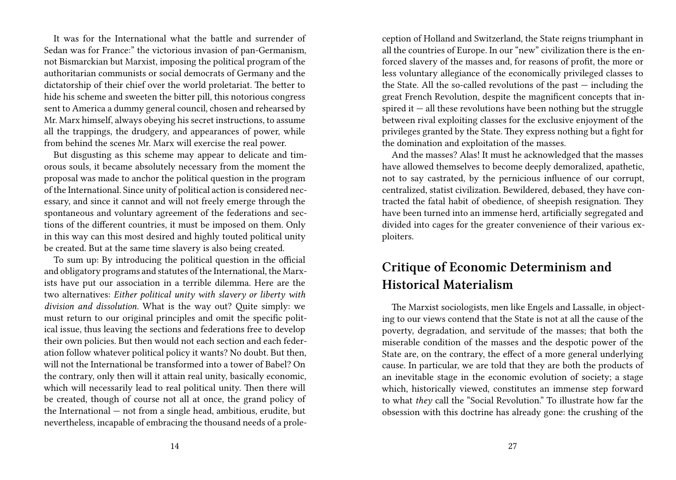It was for the International what the battle and surrender of Sedan was for France:" the victorious invasion of pan-Germanism, not Bismarckian but Marxist, imposing the political program of the authoritarian communists or social democrats of Germany and the dictatorship of their chief over the world proletariat. The better to hide his scheme and sweeten the bitter pill, this notorious congress sent to America a dummy general council, chosen and rehearsed by Mr. Marx himself, always obeying his secret instructions, to assume all the trappings, the drudgery, and appearances of power, while from behind the scenes Mr. Marx will exercise the real power.

But disgusting as this scheme may appear to delicate and timorous souls, it became absolutely necessary from the moment the proposal was made to anchor the political question in the program of the International. Since unity of political action is considered necessary, and since it cannot and will not freely emerge through the spontaneous and voluntary agreement of the federations and sections of the different countries, it must be imposed on them. Only in this way can this most desired and highly touted political unity be created. But at the same time slavery is also being created.

To sum up: By introducing the political question in the official and obligatory programs and statutes of the International, the Marxists have put our association in a terrible dilemma. Here are the two alternatives: *Either political unity with slavery or liberty with division and dissolution.* What is the way out? Quite simply: we must return to our original principles and omit the specific political issue, thus leaving the sections and federations free to develop their own policies. But then would not each section and each federation follow whatever political policy it wants? No doubt. But then, will not the International be transformed into a tower of Babel? On the contrary, only then will it attain real unity, basically economic, which will necessarily lead to real political unity. Then there will be created, though of course not all at once, the grand policy of the International — not from a single head, ambitious, erudite, but nevertheless, incapable of embracing the thousand needs of a proleception of Holland and Switzerland, the State reigns triumphant in all the countries of Europe. In our "new" civilization there is the enforced slavery of the masses and, for reasons of profit, the more or less voluntary allegiance of the economically privileged classes to the State. All the so-called revolutions of the past — including the great French Revolution, despite the magnificent concepts that inspired it  $-$  all these revolutions have been nothing but the struggle between rival exploiting classes for the exclusive enjoyment of the privileges granted by the State. They express nothing but a fight for the domination and exploitation of the masses.

And the masses? Alas! It must he acknowledged that the masses have allowed themselves to become deeply demoralized, apathetic, not to say castrated, by the pernicious influence of our corrupt, centralized, statist civilization. Bewildered, debased, they have contracted the fatal habit of obedience, of sheepish resignation. They have been turned into an immense herd, artificially segregated and divided into cages for the greater convenience of their various exploiters.

## **Critique of Economic Determinism and Historical Materialism**

The Marxist sociologists, men like Engels and Lassalle, in objecting to our views contend that the State is not at all the cause of the poverty, degradation, and servitude of the masses; that both the miserable condition of the masses and the despotic power of the State are, on the contrary, the effect of a more general underlying cause. In particular, we are told that they are both the products of an inevitable stage in the economic evolution of society; a stage which, historically viewed, constitutes an immense step forward to what *they* call the "Social Revolution." To illustrate how far the obsession with this doctrine has already gone: the crushing of the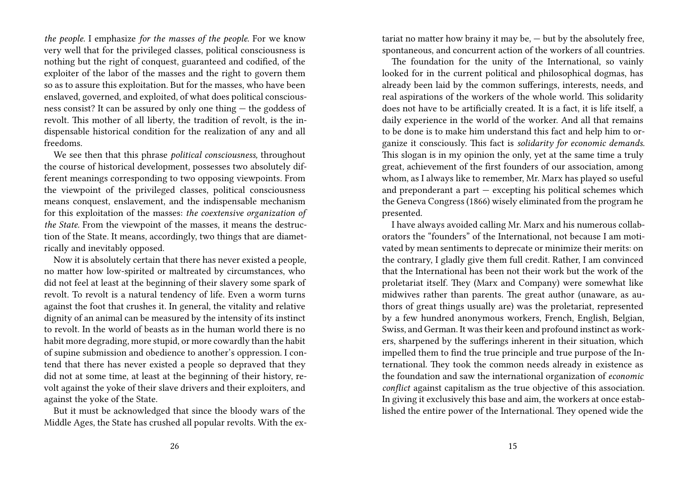*the people.* I emphasize *for the masses of the people.* For we know very well that for the privileged classes, political consciousness is nothing but the right of conquest, guaranteed and codified, of the exploiter of the labor of the masses and the right to govern them so as to assure this exploitation. But for the masses, who have been enslaved, governed, and exploited, of what does political consciousness consist? It can be assured by only one thing — the goddess of revolt. This mother of all liberty, the tradition of revolt, is the indispensable historical condition for the realization of any and all freedoms.

We see then that this phrase *political consciousness,* throughout the course of historical development, possesses two absolutely different meanings corresponding to two opposing viewpoints. From the viewpoint of the privileged classes, political consciousness means conquest, enslavement, and the indispensable mechanism for this exploitation of the masses: *the coextensive organization of the State.* From the viewpoint of the masses, it means the destruction of the State. It means, accordingly, two things that are diametrically and inevitably opposed.

Now it is absolutely certain that there has never existed a people, no matter how low-spirited or maltreated by circumstances, who did not feel at least at the beginning of their slavery some spark of revolt. To revolt is a natural tendency of life. Even a worm turns against the foot that crushes it. In general, the vitality and relative dignity of an animal can be measured by the intensity of its instinct to revolt. In the world of beasts as in the human world there is no habit more degrading, more stupid, or more cowardly than the habit of supine submission and obedience to another's oppression. I contend that there has never existed a people so depraved that they did not at some time, at least at the beginning of their history, revolt against the yoke of their slave drivers and their exploiters, and against the yoke of the State.

But it must be acknowledged that since the bloody wars of the Middle Ages, the State has crushed all popular revolts. With the extariat no matter how brainy it may be, — but by the absolutely free, spontaneous, and concurrent action of the workers of all countries.

The foundation for the unity of the International, so vainly looked for in the current political and philosophical dogmas, has already been laid by the common sufferings, interests, needs, and real aspirations of the workers of the whole world. This solidarity does not have to be artificially created. It is a fact, it is life itself, a daily experience in the world of the worker. And all that remains to be done is to make him understand this fact and help him to organize it consciously. This fact is *solidarity for economic demands.* This slogan is in my opinion the only, yet at the same time a truly great, achievement of the first founders of our association, among whom, as I always like to remember, Mr. Marx has played so useful and preponderant a part  $-$  excepting his political schemes which the Geneva Congress (1866) wisely eliminated from the program he presented.

I have always avoided calling Mr. Marx and his numerous collaborators the "founders" of the International, not because I am motivated by mean sentiments to deprecate or minimize their merits: on the contrary, I gladly give them full credit. Rather, I am convinced that the International has been not their work but the work of the proletariat itself. They (Marx and Company) were somewhat like midwives rather than parents. The great author (unaware, as authors of great things usually are) was the proletariat, represented by a few hundred anonymous workers, French, English, Belgian, Swiss, and German. It was their keen and profound instinct as workers, sharpened by the sufferings inherent in their situation, which impelled them to find the true principle and true purpose of the International. They took the common needs already in existence as the foundation and saw the international organization of *economic conflict* against capitalism as the true objective of this association. In giving it exclusively this base and aim, the workers at once established the entire power of the International. They opened wide the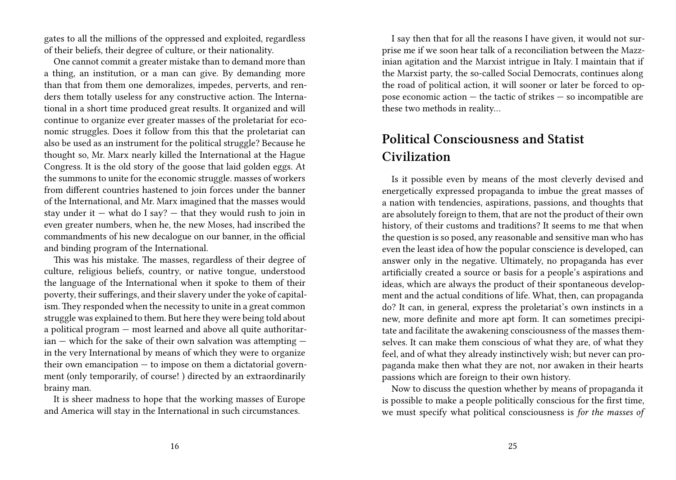gates to all the millions of the oppressed and exploited, regardless of their beliefs, their degree of culture, or their nationality.

One cannot commit a greater mistake than to demand more than a thing, an institution, or a man can give. By demanding more than that from them one demoralizes, impedes, perverts, and renders them totally useless for any constructive action. The International in a short time produced great results. It organized and will continue to organize ever greater masses of the proletariat for economic struggles. Does it follow from this that the proletariat can also be used as an instrument for the political struggle? Because he thought so, Mr. Marx nearly killed the International at the Hague Congress. It is the old story of the goose that laid golden eggs. At the summons to unite for the economic struggle. masses of workers from different countries hastened to join forces under the banner of the International, and Mr. Marx imagined that the masses would stay under it  $-$  what do I say?  $-$  that they would rush to join in even greater numbers, when he, the new Moses, had inscribed the commandments of his new decalogue on our banner, in the official and binding program of the International.

This was his mistake. The masses, regardless of their degree of culture, religious beliefs, country, or native tongue, understood the language of the International when it spoke to them of their poverty, their sufferings, and their slavery under the yoke of capitalism. They responded when the necessity to unite in a great common struggle was explained to them. But here they were being told about a political program — most learned and above all quite authoritar $ian$  — which for the sake of their own salvation was attempting in the very International by means of which they were to organize their own emancipation  $-$  to impose on them a dictatorial government (only temporarily, of course! ) directed by an extraordinarily brainy man.

It is sheer madness to hope that the working masses of Europe and America will stay in the International in such circumstances.

I say then that for all the reasons I have given, it would not surprise me if we soon hear talk of a reconciliation between the Mazzinian agitation and the Marxist intrigue in Italy. I maintain that if the Marxist party, the so-called Social Democrats, continues along the road of political action, it will sooner or later be forced to oppose economic action  $-$  the tactic of strikes  $-$  so incompatible are these two methods in reality…

## **Political Consciousness and Statist Civilization**

Is it possible even by means of the most cleverly devised and energetically expressed propaganda to imbue the great masses of a nation with tendencies, aspirations, passions, and thoughts that are absolutely foreign to them, that are not the product of their own history, of their customs and traditions? It seems to me that when the question is so posed, any reasonable and sensitive man who has even the least idea of how the popular conscience is developed, can answer only in the negative. Ultimately, no propaganda has ever artificially created a source or basis for a people's aspirations and ideas, which are always the product of their spontaneous development and the actual conditions of life. What, then, can propaganda do? It can, in general, express the proletariat's own instincts in a new, more definite and more apt form. It can sometimes precipitate and facilitate the awakening consciousness of the masses themselves. It can make them conscious of what they are, of what they feel, and of what they already instinctively wish; but never can propaganda make then what they are not, nor awaken in their hearts passions which are foreign to their own history.

Now to discuss the question whether by means of propaganda it is possible to make a people politically conscious for the first time, we must specify what political consciousness is *for the masses of*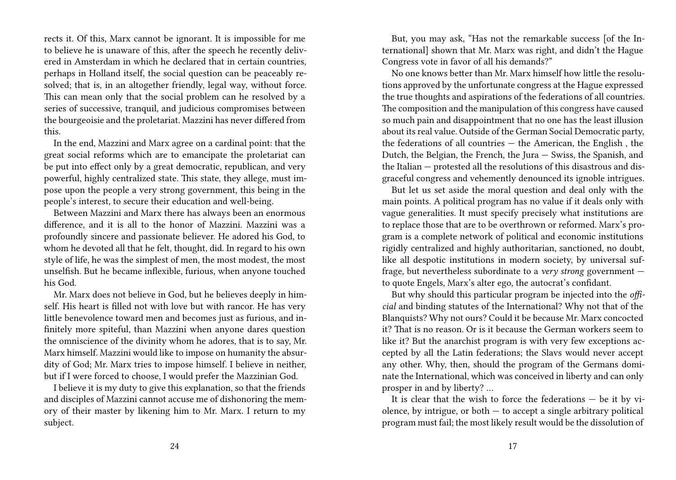rects it. Of this, Marx cannot be ignorant. It is impossible for me to believe he is unaware of this, after the speech he recently delivered in Amsterdam in which he declared that in certain countries, perhaps in Holland itself, the social question can be peaceably resolved; that is, in an altogether friendly, legal way, without force. This can mean only that the social problem can he resolved by a series of successive, tranquil, and judicious compromises between the bourgeoisie and the proletariat. Mazzini has never differed from this.

In the end, Mazzini and Marx agree on a cardinal point: that the great social reforms which are to emancipate the proletariat can be put into effect only by a great democratic, republican, and very powerful, highly centralized state. This state, they allege, must impose upon the people a very strong government, this being in the people's interest, to secure their education and well-being.

Between Mazzini and Marx there has always been an enormous difference, and it is all to the honor of Mazzini. Mazzini was a profoundly sincere and passionate believer. He adored his God, to whom he devoted all that he felt, thought, did. In regard to his own style of life, he was the simplest of men, the most modest, the most unselfish. But he became inflexible, furious, when anyone touched his God.

Mr. Marx does not believe in God, but he believes deeply in himself. His heart is filled not with love but with rancor. He has very little benevolence toward men and becomes just as furious, and infinitely more spiteful, than Mazzini when anyone dares question the omniscience of the divinity whom he adores, that is to say, Mr. Marx himself. Mazzini would like to impose on humanity the absurdity of God; Mr. Marx tries to impose himself. I believe in neither, but if I were forced to choose, I would prefer the Mazzinian God.

I believe it is my duty to give this explanation, so that the friends and disciples of Mazzini cannot accuse me of dishonoring the memory of their master by likening him to Mr. Marx. I return to my subject.

But, you may ask, "Has not the remarkable success [of the International] shown that Mr. Marx was right, and didn't the Hague Congress vote in favor of all his demands?"

No one knows better than Mr. Marx himself how little the resolutions approved by the unfortunate congress at the Hague expressed the true thoughts and aspirations of the federations of all countries. The composition and the manipulation of this congress have caused so much pain and disappointment that no one has the least illusion about its real value. Outside of the German Social Democratic party, the federations of all countries — the American, the English , the Dutch, the Belgian, the French, the Jura — Swiss, the Spanish, and the Italian — protested all the resolutions of this disastrous and disgraceful congress and vehemently denounced its ignoble intrigues.

But let us set aside the moral question and deal only with the main points. A political program has no value if it deals only with vague generalities. It must specify precisely what institutions are to replace those that are to be overthrown or reformed. Marx's program is a complete network of political and economic institutions rigidly centralized and highly authoritarian, sanctioned, no doubt, like all despotic institutions in modern society, by universal suffrage, but nevertheless subordinate to a *very strong* government to quote Engels, Marx's alter ego, the autocrat's confidant.

But why should this particular program be injected into the *official* and binding statutes of the International? Why not that of the Blanquists? Why not ours? Could it be because Mr. Marx concocted it? That is no reason. Or is it because the German workers seem to like it? But the anarchist program is with very few exceptions accepted by all the Latin federations; the Slavs would never accept any other. Why, then, should the program of the Germans dominate the International, which was conceived in liberty and can only prosper in and by liberty? …

It is clear that the wish to force the federations — be it by violence, by intrigue, or both  $-$  to accept a single arbitrary political program must fail; the most likely result would be the dissolution of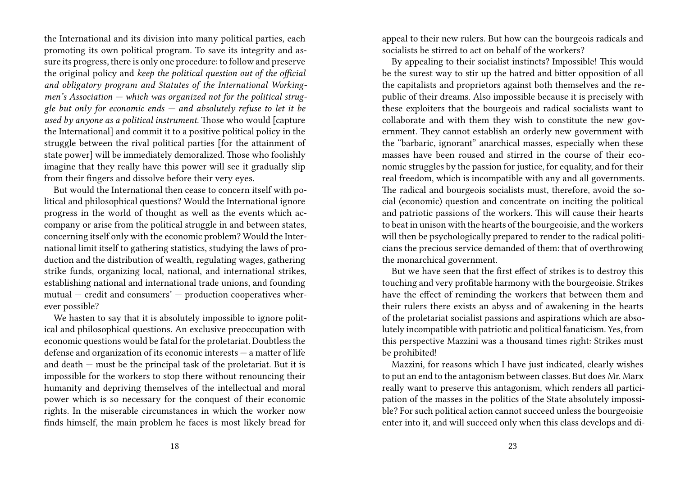the International and its division into many political parties, each promoting its own political program. To save its integrity and assure its progress, there is only one procedure: to follow and preserve the original policy and *keep the political question out of the official and obligatory program and Statutes of the International Workingmen's Association — which was organized not for the political struggle but only for economic ends — and absolutely refuse to let it be used by anyone as a political instrument.* Those who would [capture the International] and commit it to a positive political policy in the struggle between the rival political parties [for the attainment of state power] will be immediately demoralized. Those who foolishly imagine that they really have this power will see it gradually slip from their fingers and dissolve before their very eyes.

But would the International then cease to concern itself with political and philosophical questions? Would the International ignore progress in the world of thought as well as the events which accompany or arise from the political struggle in and between states, concerning itself only with the economic problem? Would the International limit itself to gathering statistics, studying the laws of production and the distribution of wealth, regulating wages, gathering strike funds, organizing local, national, and international strikes, establishing national and international trade unions, and founding mutual — credit and consumers' — production cooperatives wherever possible?

We hasten to say that it is absolutely impossible to ignore political and philosophical questions. An exclusive preoccupation with economic questions would be fatal for the proletariat. Doubtless the defense and organization of its economic interests — a matter of life and death — must be the principal task of the proletariat. But it is impossible for the workers to stop there without renouncing their humanity and depriving themselves of the intellectual and moral power which is so necessary for the conquest of their economic rights. In the miserable circumstances in which the worker now finds himself, the main problem he faces is most likely bread for appeal to their new rulers. But how can the bourgeois radicals and socialists be stirred to act on behalf of the workers?

By appealing to their socialist instincts? Impossible! This would be the surest way to stir up the hatred and bitter opposition of all the capitalists and proprietors against both themselves and the republic of their dreams. Also impossible because it is precisely with these exploiters that the bourgeois and radical socialists want to collaborate and with them they wish to constitute the new government. They cannot establish an orderly new government with the "barbaric, ignorant" anarchical masses, especially when these masses have been roused and stirred in the course of their economic struggles by the passion for justice, for equality, and for their real freedom, which is incompatible with any and all governments. The radical and bourgeois socialists must, therefore, avoid the social (economic) question and concentrate on inciting the political and patriotic passions of the workers. This will cause their hearts to beat in unison with the hearts of the bourgeoisie, and the workers will then be psychologically prepared to render to the radical politicians the precious service demanded of them: that of overthrowing the monarchical government.

But we have seen that the first effect of strikes is to destroy this touching and very profitable harmony with the bourgeoisie. Strikes have the effect of reminding the workers that between them and their rulers there exists an abyss and of awakening in the hearts of the proletariat socialist passions and aspirations which are absolutely incompatible with patriotic and political fanaticism. Yes, from this perspective Mazzini was a thousand times right: Strikes must be prohibited!

Mazzini, for reasons which I have just indicated, clearly wishes to put an end to the antagonism between classes. But does Mr. Marx really want to preserve this antagonism, which renders all participation of the masses in the politics of the State absolutely impossible? For such political action cannot succeed unless the bourgeoisie enter into it, and will succeed only when this class develops and di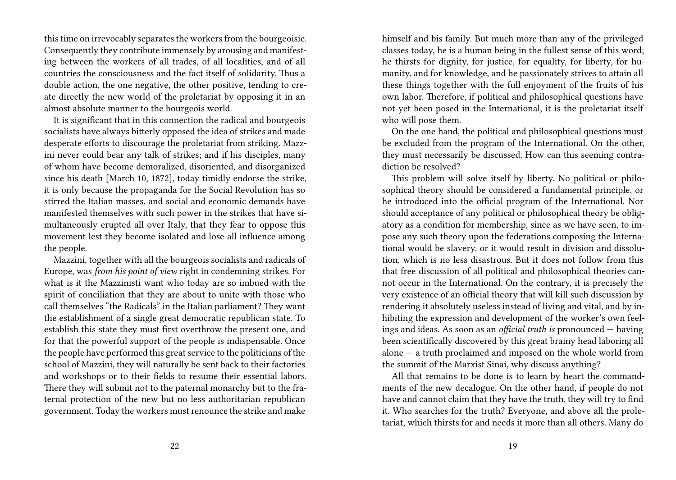this time on irrevocably separates the workers from the bourgeoisie. Consequently they contribute immensely by arousing and manifesting between the workers of all trades, of all localities, and of all countries the consciousness and the fact itself of solidarity. Thus a double action, the one negative, the other positive, tending to create directly the new world of the proletariat by opposing it in an almost absolute manner to the bourgeois world.

It is significant that in this connection the radical and bourgeois socialists have always bitterly opposed the idea of strikes and made desperate efforts to discourage the proletariat from striking. Mazzini never could bear any talk of strikes; and if his disciples, many of whom have become demoralized, disoriented, and disorganized since his death [March 10, 1872], today timidly endorse the strike, it is only because the propaganda for the Social Revolution has so stirred the Italian masses, and social and economic demands have manifested themselves with such power in the strikes that have simultaneously erupted all over Italy, that they fear to oppose this movement lest they become isolated and lose all influence among the people.

Mazzini, together with all the bourgeois socialists and radicals of Europe, was *from his point of view* right in condemning strikes. For what is it the Mazzinisti want who today are so imbued with the spirit of conciliation that they are about to unite with those who call themselves "the Radicals" in the Italian parliament? They want the establishment of a single great democratic republican state. To establish this state they must first overthrow the present one, and for that the powerful support of the people is indispensable. Once the people have performed this great service to the politicians of the school of Mazzini, they will naturally be sent back to their factories and workshops or to their fields to resume their essential labors. There they will submit not to the paternal monarchy but to the fraternal protection of the new but no less authoritarian republican government. Today the workers must renounce the strike and make

himself and bis family. But much more than any of the privileged classes today, he is a human being in the fullest sense of this word; he thirsts for dignity, for justice, for equality, for liberty, for humanity, and for knowledge, and he passionately strives to attain all these things together with the full enjoyment of the fruits of his own labor. Therefore, if political and philosophical questions have not yet been posed in the International, it is the proletariat itself who will pose them.

On the one hand, the political and philosophical questions must be excluded from the program of the International. On the other, they must necessarily be discussed. How can this seeming contradiction be resolved?

This problem will solve itself by liberty. No political or philosophical theory should be considered a fundamental principle, or he introduced into the official program of the International. Nor should acceptance of any political or philosophical theory be obligatory as a condition for membership, since as we have seen, to impose any such theory upon the federations composing the International would be slavery, or it would result in division and dissolution, which is no less disastrous. But it does not follow from this that free discussion of all political and philosophical theories cannot occur in the International. On the contrary, it is precisely the very existence of an official theory that will kill such discussion by rendering it absolutely useless instead of living and vital, and by inhibiting the expression and development of the worker's own feelings and ideas. As soon as an *official truth is* pronounced — having been scientifically discovered by this great brainy head laboring all alone — a truth proclaimed and imposed on the whole world from the summit of the Marxist Sinai, why discuss anything?

All that remains to be done is to learn by heart the commandments of the new decalogue. On the other hand, if people do not have and cannot claim that they have the truth, they will try to find it. Who searches for the truth? Everyone, and above all the proletariat, which thirsts for and needs it more than all others. Many do